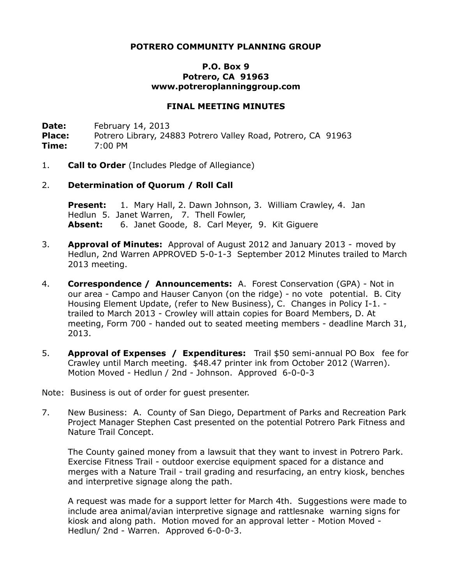## **POTRERO COMMUNITY PLANNING GROUP**

## **P.O. Box 9 Potrero, CA 91963 www.potreroplanninggroup.com**

#### **FINAL MEETING MINUTES**

**Date:** February 14, 2013 Place: Potrero Library, 24883 Potrero Valley Road, Potrero, CA 91963 **Time:** 7:00 PM

1. **Call to Order** (Includes Pledge of Allegiance)

### 2. **Determination of Quorum / Roll Call**

**Present:** 1. Mary Hall, 2. Dawn Johnson, 3. William Crawley, 4. Jan Hedlun 5. Janet Warren, 7. Thell Fowler, **Absent:** 6. Janet Goode, 8. Carl Meyer, 9. Kit Giguere

- 3. **Approval of Minutes:** Approval of August 2012 and January 2013 moved by Hedlun, 2nd Warren APPROVED 5-0-1-3 September 2012 Minutes trailed to March 2013 meeting.
- 4. **Correspondence / Announcements:** A. Forest Conservation (GPA) Not in our area - Campo and Hauser Canyon (on the ridge) - no vote potential. B. City Housing Element Update, (refer to New Business), C. Changes in Policy I-1. trailed to March 2013 - Crowley will attain copies for Board Members, D. At meeting, Form 700 - handed out to seated meeting members - deadline March 31, 2013.
- 5. **Approval of Expenses / Expenditures:** Trail \$50 semi-annual PO Box fee for Crawley until March meeting. \$48.47 printer ink from October 2012 (Warren). Motion Moved - Hedlun / 2nd - Johnson. Approved 6-0-0-3

Note: Business is out of order for guest presenter.

7. New Business: A. County of San Diego, Department of Parks and Recreation Park Project Manager Stephen Cast presented on the potential Potrero Park Fitness and Nature Trail Concept.

The County gained money from a lawsuit that they want to invest in Potrero Park. Exercise Fitness Trail - outdoor exercise equipment spaced for a distance and merges with a Nature Trail - trail grading and resurfacing, an entry kiosk, benches and interpretive signage along the path.

A request was made for a support letter for March 4th. Suggestions were made to include area animal/avian interpretive signage and rattlesnake warning signs for kiosk and along path. Motion moved for an approval letter - Motion Moved - Hedlun/ 2nd - Warren. Approved 6-0-0-3.